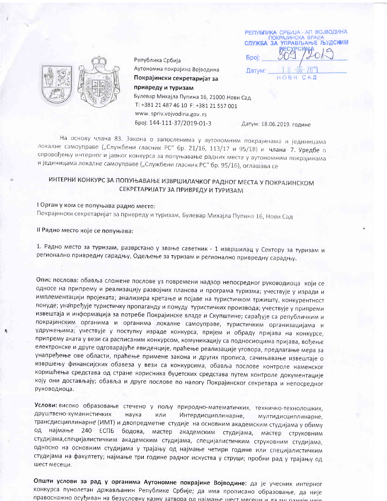РЕПУБЛИКА СРБИЈА - АП ВОЈВОДИНА ПОКРАЈИНСКА ВЛАДА<br>СЛУЖБА ЗА УПРАВЉАЊЕ ЉУДСКИМ **Bpoi:** Датум: **HOBM САД** 



Република Србија Аутономна покрајина Војводина Покрајински секретаријат за привреду и туризам Булевар Михајла Пупина 16, 21000 Нови Сад T: +381 21 487 46 10 F: +381 21 557 001 www.spriv.vojvodina.gov.rs Број: 144-111-37/2019-01-3

Датум: 18.06.2019. године

На основу члана 83. Закона о запосленима у аутономним покрајинама и јединицама локалне самоуправе ("Службени гласник РС" бр. 21/16, 113/17 и 95/18) и члана 7. Уредбе о спровођењу интерног и јавног конкурса за попуњавање радних места у аутономним покрајинама и јединицама локалне самоуправе ("Службени гласник РС" бр. 95/16), оглашава се

## ИНТЕРНИ КОНКУРС ЗА ПОПУЊАВАЊЕ ИЗВРШИЛАЧКОГ РАДНОГ МЕСТА У ПОКРАЈИНСКОМ СЕКРЕТАРИЈАТУ ЗА ПРИВРЕДУ И ТУРИЗАМ

I Орган у ком се попуњава радно место: Покрајински секретаријат за привреду и туризам, Булевар Михајла Пупина 16, Нови Сад

Il Радно место које се попуњава:

1. Радно место за туризам, разврстано у звање саветник - 1 извршилац у Сектору за туризам и регионално привредну сарадњу, Одељење за туризам и регионално привредну сарадњу.

Опис послова: обавља сложене послове уз повремени надзор непосредног руководиоца који се односе на припрему и реализацију развојних планова и програма туризма; учествује у изради и имплементацији пројеката; анализира кретање и појаве на туристичком тржишту, конкурентност понуде; унапређује туристичку пропаганду и понуду туристичких производа; учествује у припреми извештаја и информација за потребе Покрајинске владе и Скупштине; сарађује са републичким и покрајинским органима и органима локалне самоуправе, туристичким организацијама и удружењима; учествује у поступку израде конкурса, пријем и обраду пријава на конкурсе, припрему аката у вези са расписаним конкурсом, комуникацију са подносиоцима пријава, вођење електронске и друге одговарајуће евиденције, праћење реализације уговора, предлагање мера за унапређење ове области, праћење примене закона и других прописа, сачињавање извештаје о извршењу финансијских обавеза у вези са конкурсима, обавља послове контроле наменског коришћења средстава од стране корисника буџетских средстава путем контроле документације коју они достављају; обавља и друге послове по налогу Покрајинског секретара и непосредног руководиоца.

Услови: високо образовање стечено у пољу природно-математичких, техничко-технолошких, друштвено-хуманистичких или наука Интердисциплинарне, мултидисциплинарне, трансдисциплинарне (ИМТ) и двопредметне студије на основним академским студијама у обиму од најмање 240 ЕСПБ бодова, мастер академским студијама, мастер струковним студијама,специјалистичким академским студијама, специјалистичким струковним студијама, односно на основним студијама у трајању од најмање четири године или специјалистичким студијама на факултету; најмање три године радног искуства у струци; пробни рад у трајању од шест месеци.

Општи услови за рад у органима Аутономне покрајине Војводине: да је учесник интерног конкурса пунолетан држављанин Републике Србије; да има прописано образовање, да није правоснажно осуђиван на безусловну казну затвора од најмање шест месеци и да му раније није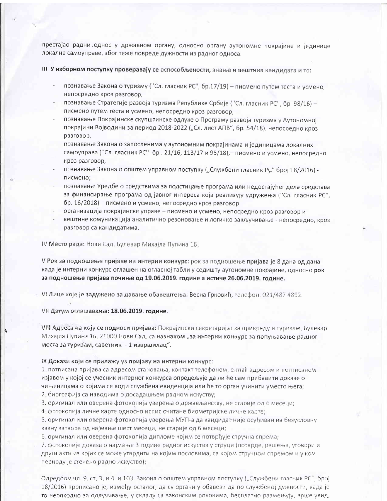престајао радни однос у државном органу, односно органу аутономне покрајине и јединице локалне самоуправе, због теже повреде дужности из радног односа.

III У изборном поступку проверавају се оспособљености, знања и вештина кандидата и то:

- познавање Закона о туризму ("Сл. гласник РС", бр.17/19) писмено путем теста и усмено, непосредно кроз разговор,
- познавање Стратегије развоја туризма Републике Србије ("Сл. гласник РС", бр. 98/16) писмено путем теста и усмено, непосредно кроз разговор,
- познавање Покрајинске скупштинске одлуке о Програму развоја туризма у Аутономној покрајини Војводини за период 2018-2022 ("Сл. лист АПВ", бр. 54/18), непосредно кроз разговор,
- познавање Закона о запосленима у аутономним покрајинама и јединицама локалних самоуправа ("Сл. гласник РС" бр. 21/16, 113/17 и 95/18),- писмено и усмено, непосредно кроз разговор,
- познавање Закона о општем управном поступку ("Службени гласник РС" број 18/2016) писмено;
- познавање Уредбе о средствима за подстицање програма или недостајућег дела средстава за финансирање програма од јавног интереса која реализују удружења ("Сл. гласник РС", бр. 16/2018) – писмено и усмено, непосредно кроз разговор
- организација покрајинске управе писмено и усмено, непосредно кроз разговор и
- вештине комуникација аналитично резоновање и логичко закључивање непосредно, кроз разговор са кандидатима.

IV Место рада: Нови Сад, Булевар Михајла Пупина 16.

V Рок за подношење пријаве на интерни конкурс: рок за подношење пријава је 8 дана од дана када је интерни конкурс оглашен на огласној табли у седишту аутономне покрајине, односно рок за подношење пријава почиње од 19.06.2019. године а истиче 26.06.2019. године.

VI Лице које је задужено за давање обавештења: Весна Грковић, телефон: 021/487 4892.

VII Датум оглашавања: 18.06.2019. године.

VIII Адреса на коју се подноси пријава: Покрајински секретаријат за привреду и туризам, Булевар Михајла Пупина 16, 21000 Нови Сад, са назнаком "за интерни конкурс за попуњавање радног места за туризам, саветник - 1 извршилац".

## IX Докази који се прилажу уз пријаву на интерни конкурс:

1. потписана пријава са адресом становања, контакт телефоном, e-mail адресом и потписаном изјавом у којој се учесник интерног конкурса опредељује да ли ће сам прибавити доказе о чињеницама о којима се води службена евиденција или ће то орган учинити уместо њега; 2. биографија са наводима о досадашњем радном искуству;

3. оригинал или оверена фотокопија уверења о држављанству, не старије од 6 месеци;

4. фотокопија личне карте односно испис очитане биометријске личне карте;

5. оригинал или оверена фотокопија уверења МУП-а да кандидат није осуђиван на безусловну казну затвора од најмање шест месеци, не старије од 6 месеци;

6. оригинал или оверена фотокопија дипломе којим се потврђује стручна спрема;

7. фотокопије доказа о најмање 3 године радног искуства у струци (потврде, решења, уговори и други акти из којих се може утврдити на којим пословима, са којом стручном спремом и у ком периоду је стечено радно искуство);

Одредбом чл. 9. ст. 3. и 4. и 103. Закона о општем управном поступку ("Службени гласник РС", број 18/2016) прописано је, између осталог, да су органи у обавези да по службеној дужности, када је то неопходно за одлучивање, у складу са законским роковима, бесплатно размењују, врше увид,